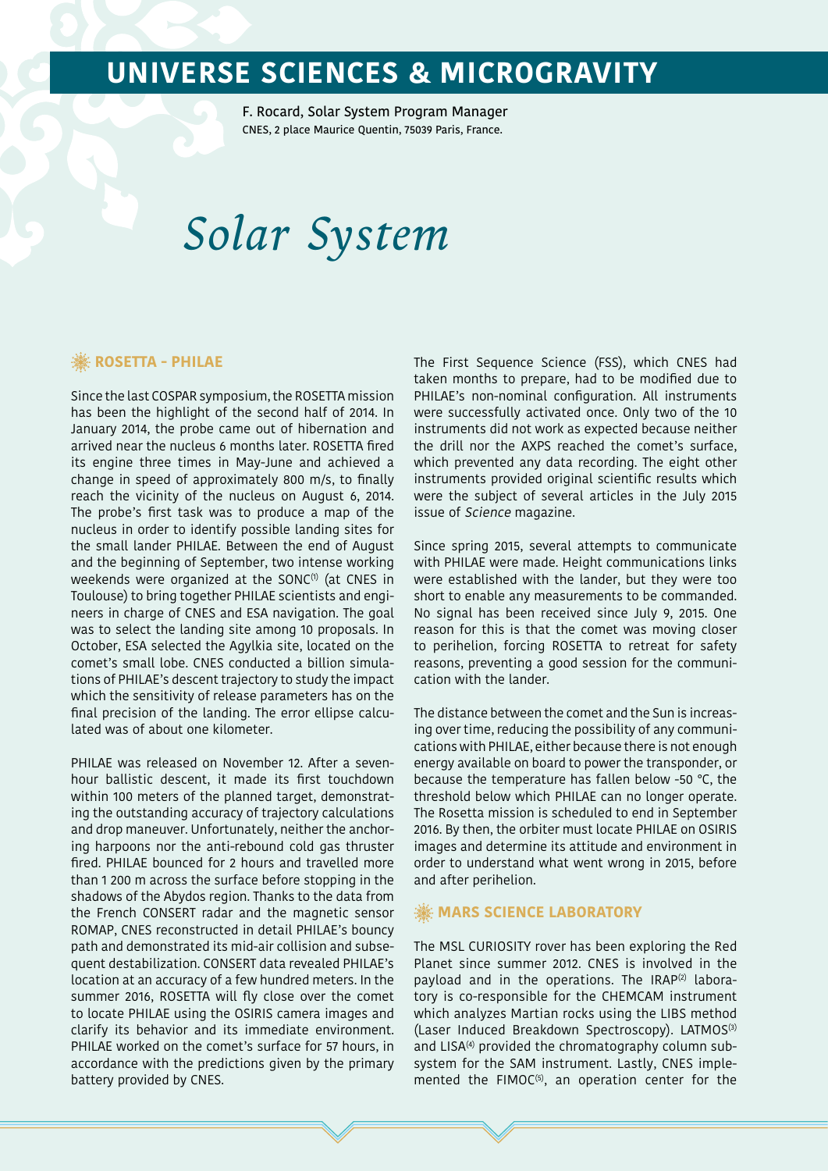F. Rocard, Solar System Program Manager CNES, 2 place Maurice Quentin, 75039 Paris, France.

# *Solar System*

## *※* **ROSETTA - PHILAE**

Since the last COSPAR symposium, the ROSETTA mission has been the highlight of the second half of 2014. In January 2014, the probe came out of hibernation and arrived near the nucleus 6 months later. ROSETTA fired its engine three times in May-June and achieved a change in speed of approximately 800 m/s, to finally reach the vicinity of the nucleus on August 6, 2014. The probe's first task was to produce a map of the nucleus in order to identify possible landing sites for the small lander PHILAE. Between the end of August and the beginning of September, two intense working weekends were organized at the SONC $(1)$  (at CNES in Toulouse) to bring together PHILAE scientists and engineers in charge of CNES and ESA navigation. The goal was to select the landing site among 10 proposals. In October, ESA selected the Agylkia site, located on the comet's small lobe. CNES conducted a billion simulations of PHILAE's descent trajectory to study the impact which the sensitivity of release parameters has on the final precision of the landing. The error ellipse calculated was of about one kilometer.

PHILAE was released on November 12. After a sevenhour ballistic descent, it made its first touchdown within 100 meters of the planned target, demonstrating the outstanding accuracy of trajectory calculations and drop maneuver. Unfortunately, neither the anchoring harpoons nor the anti-rebound cold gas thruster fired. PHILAE bounced for 2 hours and travelled more than 1 200 m across the surface before stopping in the shadows of the Abydos region. Thanks to the data from the French CONSERT radar and the magnetic sensor ROMAP, CNES reconstructed in detail PHILAE's bouncy path and demonstrated its mid-air collision and subsequent destabilization. CONSERT data revealed PHILAE's location at an accuracy of a few hundred meters. In the summer 2016, ROSETTA will fly close over the comet to locate PHILAE using the OSIRIS camera images and clarify its behavior and its immediate environment. PHILAE worked on the comet's surface for 57 hours, in accordance with the predictions given by the primary battery provided by CNES.

The First Sequence Science (FSS), which CNES had taken months to prepare, had to be modified due to PHILAE's non-nominal configuration. All instruments were successfully activated once. Only two of the 10 instruments did not work as expected because neither the drill nor the AXPS reached the comet's surface, which prevented any data recording. The eight other instruments provided original scientific results which were the subject of several articles in the July 2015 issue of Science magazine.

Since spring 2015, several attempts to communicate with PHILAE were made. Height communications links were established with the lander, but they were too short to enable any measurements to be commanded. No signal has been received since July 9, 2015. One reason for this is that the comet was moving closer to perihelion, forcing ROSETTA to retreat for safety reasons, preventing a good session for the communication with the lander.

The distance between the comet and the Sun is increasing over time, reducing the possibility of any communications with PHILAE, either because there is not enough energy available on board to power the transponder, or because the temperature has fallen below -50 °C, the threshold below which PHILAE can no longer operate. The Rosetta mission is scheduled to end in September 2016. By then, the orbiter must locate PHILAE on OSIRIS images and determine its attitude and environment in order to understand what went wrong in 2015, before and after perihelion.

#### **MARS SCIENCE LABORATORY**

The MSL CURIOSITY rover has been exploring the Red Planet since summer 2012. CNES is involved in the payload and in the operations. The IRAP<sup>(2)</sup> laboratory is co-responsible for the CHEMCAM instrument which analyzes Martian rocks using the LIBS method (Laser Induced Breakdown Spectroscopy). LATMOS<sup>(3)</sup> and LISA<sup>(4)</sup> provided the chromatography column subsystem for the SAM instrument. Lastly, CNES implemented the FIMOC $(5)$ , an operation center for the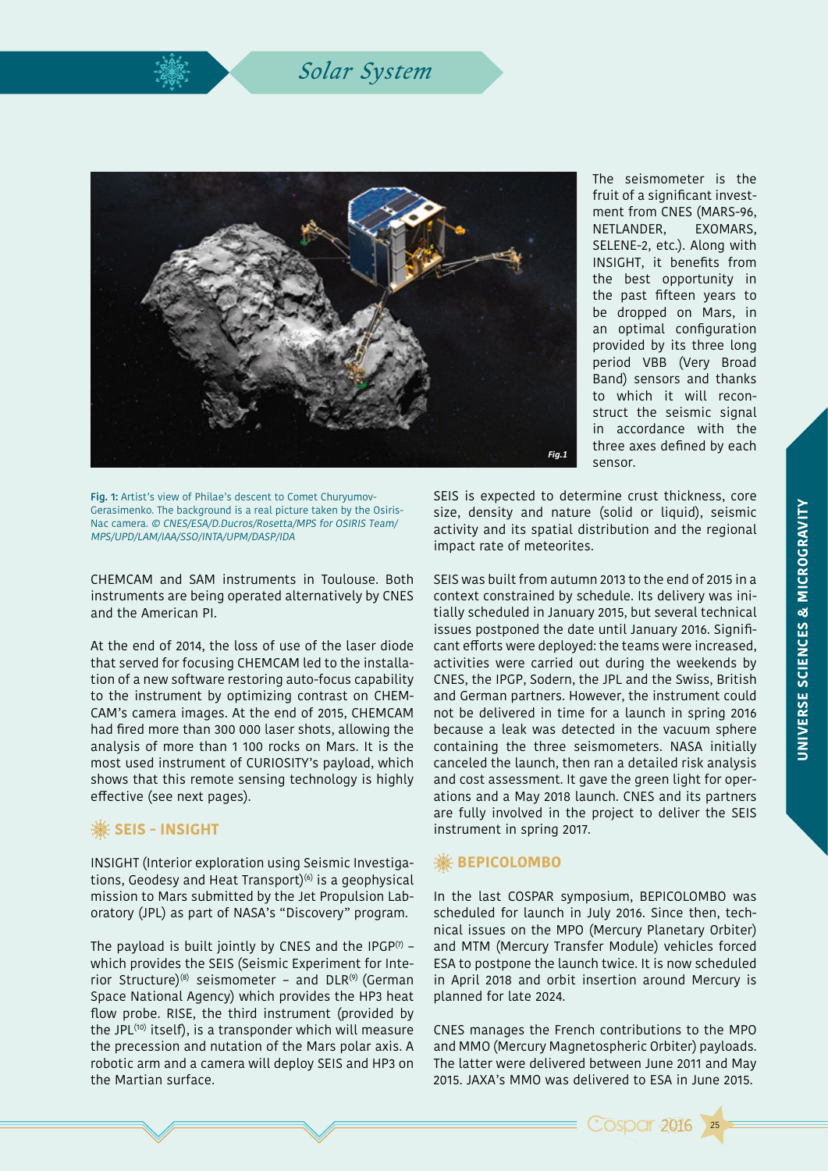## *Solar System*



The seismometer is the fruit of a significant investment from CNES (MARS-96, NETLANDER, EXOMARS, SELENE-2, etc.). Along with INSIGHT, it benefits from the best opportunity in the past fifteen years to be dropped on Mars, in an optimal configuration provided by its three long period VBB (Very Broad Band) sensors and thanks to which it will reconstruct the seismic signal in accordance with the three axes defined by each sensor.

**Fig. 1:** Artist's view of Philae's descent to Comet Churyumov-Gerasimenko. The background is a real picture taken by the Osiris-Nac camera. © CNES/ESA/D.Ducros/Rosetta/MPS for OSIRIS Team/ MPS/UPD/LAM/IAA/SSO/INTA/UPM/DASP/IDA

CHEMCAM and SAM instruments in Toulouse. Both instruments are being operated alternatively by CNES and the American PI.

At the end of 2014, the loss of use of the laser diode that served for focusing CHEMCAM led to the installation of a new software restoring auto-focus capability to the instrument by optimizing contrast on CHEM-CAM's camera images. At the end of 2015, CHEMCAM had fired more than 300 000 laser shots, allowing the analysis of more than 1 100 rocks on Mars. It is the most used instrument of CURIOSITY's payload, which shows that this remote sensing technology is highly effective (see next pages).

## *SEIS - INSIGHT*

INSIGHT (Interior exploration using Seismic Investigations, Geodesy and Heat Transport) $(6)$  is a geophysical mission to Mars submitted by the Jet Propulsion Laboratory (JPL) as part of NASA's "Discovery" program.

The payload is built jointly by CNES and the IPGP $(7)$  – which provides the SEIS (Seismic Experiment for Interior Structure)<sup>(8)</sup> seismometer - and DLR<sup>(9)</sup> (German Space National Agency) which provides the HP3 heat flow probe. RISE, the third instrument (provided by the JPL(10) itself), is a transponder which will measure the precession and nutation of the Mars polar axis. A robotic arm and a camera will deploy SEIS and HP3 on the Martian surface.

SEIS is expected to determine crust thickness, core size, density and nature (solid or liquid), seismic activity and its spatial distribution and the regional impact rate of meteorites.

SEIS was built from autumn 2013 to the end of 2015 in a context constrained by schedule. Its delivery was initially scheduled in January 2015, but several technical issues postponed the date until January 2016. Significant efforts were deployed: the teams were increased, activities were carried out during the weekends by CNES, the IPGP, Sodern, the JPL and the Swiss, British and German partners. However, the instrument could not be delivered in time for a launch in spring 2016 because a leak was detected in the vacuum sphere containing the three seismometers. NASA initially canceled the launch, then ran a detailed risk analysis and cost assessment. It gave the green light for operations and a May 2018 launch. CNES and its partners are fully involved in the project to deliver the SEIS instrument in spring 2017.

## **. SEPICOLOMBO**

In the last COSPAR symposium, BEPICOLOMBO was scheduled for launch in July 2016. Since then, technical issues on the MPO (Mercury Planetary Orbiter) and MTM (Mercury Transfer Module) vehicles forced ESA to postpone the launch twice. It is now scheduled in April 2018 and orbit insertion around Mercury is planned for late 2024.

CNES manages the French contributions to the MPO and MMO (Mercury Magnetospheric Orbiter) payloads. The latter were delivered between June 2011 and May 2015. JAXA's MMO was delivered to ESA in June 2015.



25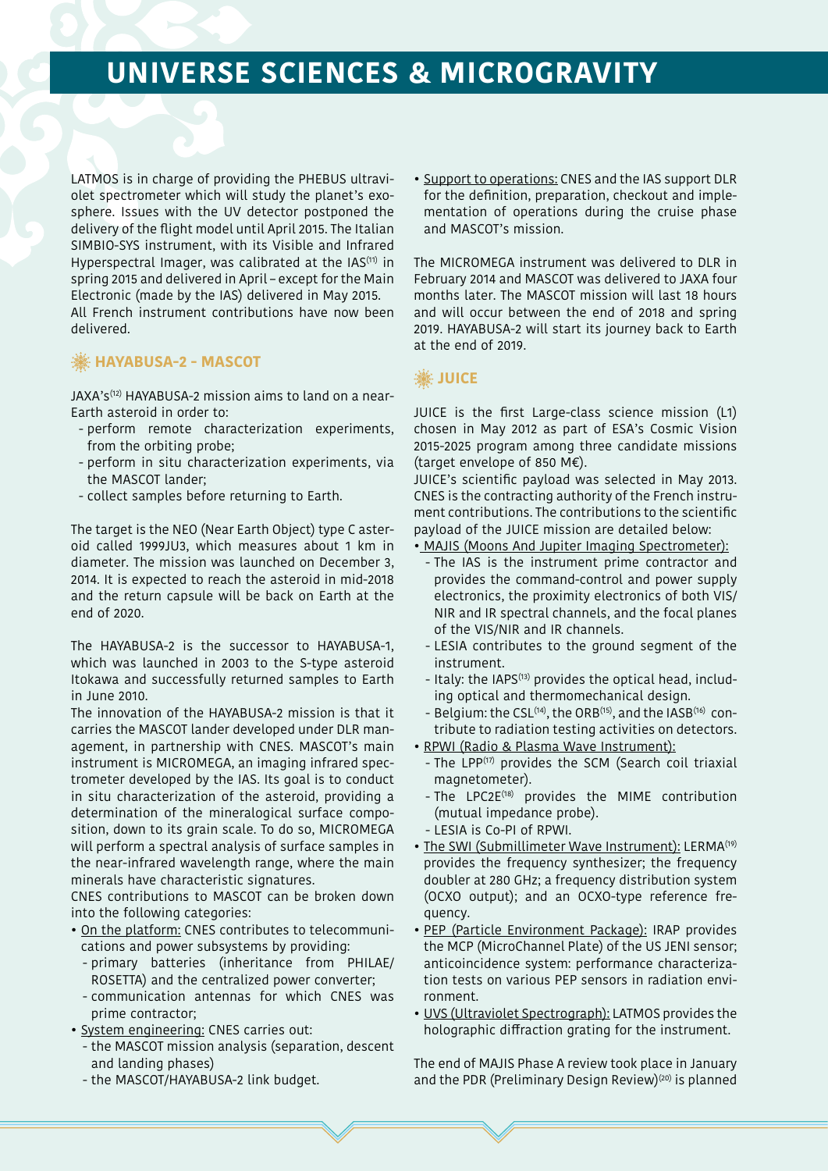LATMOS is in charge of providing the PHEBUS ultraviolet spectrometer which will study the planet's exosphere. Issues with the UV detector postponed the delivery of the flight model until April 2015. The Italian SIMBIO-SYS instrument, with its Visible and Infrared Hyperspectral Imager, was calibrated at the IAS<sup>(11)</sup> in spring 2015 and delivered in April – except for the Main Electronic (made by the IAS) delivered in May 2015. All French instrument contributions have now been delivered.

## *S* HAYABUSA-2 - MASCOT

JAXA's<sup>(12)</sup> HAYABUSA-2 mission aims to land on a near-Earth asteroid in order to:

- perform remote characterization experiments, from the orbiting probe;
- perform in situ characterization experiments, via the MASCOT lander;
- collect samples before returning to Earth.

The target is the NEO (Near Earth Object) type C asteroid called 1999JU3, which measures about 1 km in diameter. The mission was launched on December 3, 2014. It is expected to reach the asteroid in mid-2018 and the return capsule will be back on Earth at the end of 2020.

The HAYABUSA-2 is the successor to HAYABUSA-1, which was launched in 2003 to the S-type asteroid Itokawa and successfully returned samples to Earth in June 2010.

The innovation of the HAYABUSA-2 mission is that it carries the MASCOT lander developed under DLR management, in partnership with CNES. MASCOT's main instrument is MICROMEGA, an imaging infrared spectrometer developed by the IAS. Its goal is to conduct in situ characterization of the asteroid, providing a determination of the mineralogical surface composition, down to its grain scale. To do so, MICROMEGA will perform a spectral analysis of surface samples in the near-infrared wavelength range, where the main minerals have characteristic signatures.

CNES contributions to MASCOT can be broken down into the following categories:

- On the platform: CNES contributes to telecommunications and power subsystems by providing:
- primary batteries (inheritance from PHILAE/ ROSETTA) and the centralized power converter;
- communication antennas for which CNES was prime contractor;
- System engineering: CNES carries out:
	- the MASCOT mission analysis (separation, descent and landing phases)
	- the MASCOT/HAYABUSA-2 link budget.

• Support to operations: CNES and the IAS support DLR for the definition, preparation, checkout and implementation of operations during the cruise phase and MASCOT's mission.

The MICROMEGA instrument was delivered to DLR in February 2014 and MASCOT was delivered to JAXA four months later. The MASCOT mission will last 18 hours and will occur between the end of 2018 and spring 2019. HAYABUSA-2 will start its journey back to Earth at the end of 2019.

## **JUICE**

JUICE is the first Large-class science mission (L1) chosen in May 2012 as part of ESA's Cosmic Vision 2015-2025 program among three candidate missions (target envelope of 850 M€).

JUICE's scientific payload was selected in May 2013. CNES is the contracting authority of the French instrument contributions. The contributions to the scientific payload of the JUICE mission are detailed below:

- MAJIS (Moons And Jupiter Imaging Spectrometer):
	- The IAS is the instrument prime contractor and provides the command-control and power supply electronics, the proximity electronics of both VIS/ NIR and IR spectral channels, and the focal planes of the VIS/NIR and IR channels.
	- LESIA contributes to the ground segment of the instrument.
	- Italy: the IAPS(13) provides the optical head, including optical and thermomechanical design.
	- Belgium: the CSL<sup>(14)</sup>, the ORB<sup>(15)</sup>, and the IASB<sup>(16)</sup> contribute to radiation testing activities on detectors.
- RPWI (Radio & Plasma Wave Instrument):
	- The LPP<sup>(17)</sup> provides the SCM (Search coil triaxial magnetometer).
	- The LPC2E<sup>(18)</sup> provides the MIME contribution (mutual impedance probe).
	- LESIA is Co-PI of RPWI.
- The SWI (Submillimeter Wave Instrument): LERMA<sup>(19)</sup> provides the frequency synthesizer; the frequency doubler at 280 GHz; a frequency distribution system (OCXO output); and an OCXO-type reference frequency.
- PEP (Particle Environment Package): IRAP provides the MCP (MicroChannel Plate) of the US JENI sensor; anticoincidence system: performance characterization tests on various PEP sensors in radiation environment.
- UVS (Ultraviolet Spectrograph): LATMOS provides the holographic diffraction grating for the instrument.

The end of MAJIS Phase A review took place in January and the PDR (Preliminary Design Review)<sup>(20)</sup> is planned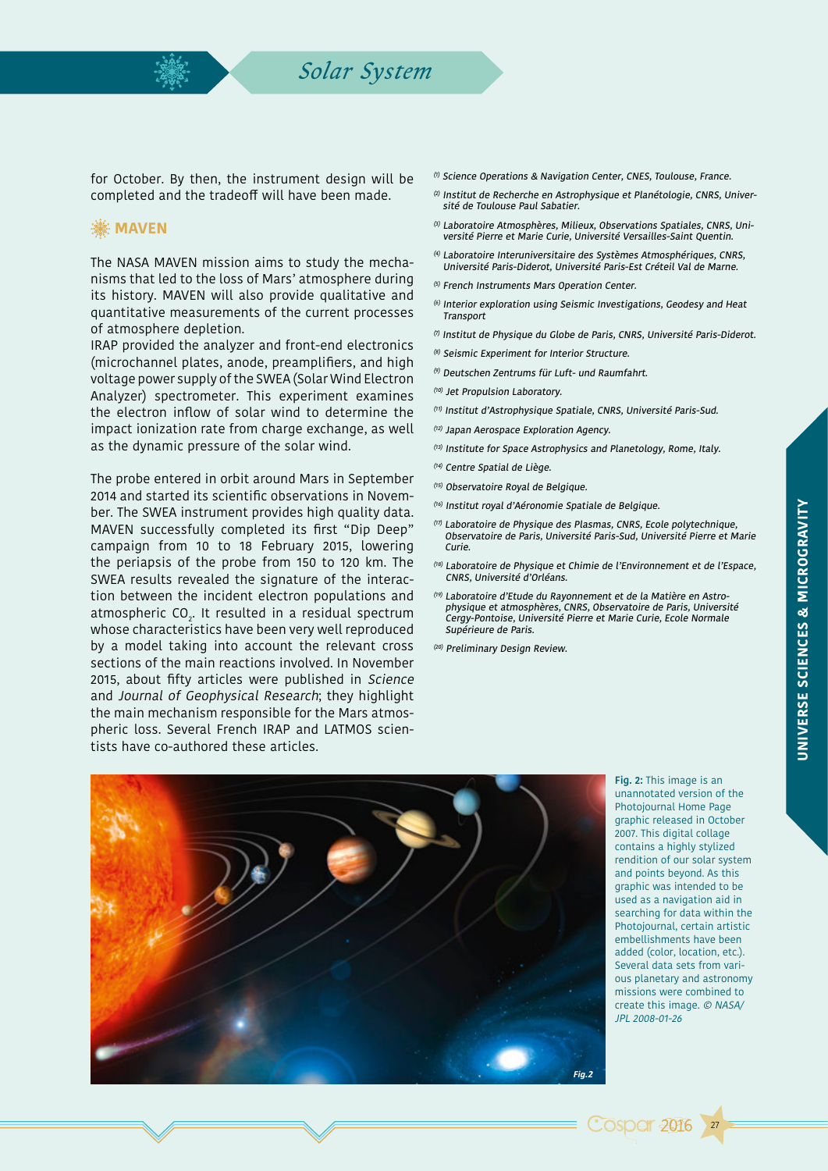## *Solar System*

for October. By then, the instrument design will be completed and the tradeoff will have been made.

## **. MAVEN**

The NASA MAVEN mission aims to study the mechanisms that led to the loss of Mars' atmosphere during its history. MAVEN will also provide qualitative and quantitative measurements of the current processes of atmosphere depletion.

IRAP provided the analyzer and front-end electronics (microchannel plates, anode, preamplifiers, and high voltage power supply of the SWEA (Solar Wind Electron Analyzer) spectrometer. This experiment examines the electron inflow of solar wind to determine the impact ionization rate from charge exchange, as well as the dynamic pressure of the solar wind.

The probe entered in orbit around Mars in September 2014 and started its scientific observations in November. The SWEA instrument provides high quality data. MAVEN successfully completed its first "Dip Deep" campaign from 10 to 18 February 2015, lowering the periapsis of the probe from 150 to 120 km. The SWEA results revealed the signature of the interaction between the incident electron populations and atmospheric CO $_{\textrm{\tiny{2}}}$ . It resulted in a residual spectrum whose characteristics have been very well reproduced by a model taking into account the relevant cross sections of the main reactions involved. In November 2015, about fifty articles were published in Science and Journal of Geophysical Research; they highlight the main mechanism responsible for the Mars atmospheric loss. Several French IRAP and LATMOS scientists have co-authored these articles.

- (1) Science Operations & Navigation Center, CNES, Toulouse, France.
- (2) Institut de Recherche en Astrophysique et Planétologie, CNRS, Université de Toulouse Paul Sabatier.
- (3) Laboratoire Atmosphères, Milieux, Observations Spatiales, CNRS, Université Pierre et Marie Curie, Université Versailles-Saint Quentin.
- (4) Laboratoire Interuniversitaire des Systèmes Atmosphériques, CNRS, Université Paris-Diderot, Université Paris-Est Créteil Val de Marne.
- $(5)$  French Instruments Mars Operation Center.
- (6) Interior exploration using Seismic Investigations, Geodesy and Heat **Transport**
- $(7)$  Institut de Physique du Globe de Paris, CNRS, Université Paris-Diderot.
- (8) Seismic Experiment for Interior Structure.
- (9) Deutschen Zentrums für Luft- und Raumfahrt.
- (10) Jet Propulsion Laboratory.
- (11) Institut d'Astrophysique Spatiale, CNRS, Université Paris-Sud.
- (12) Japan Aerospace Exploration Agency.
- (13) Institute for Space Astrophysics and Planetology, Rome, Italy.
- (14) Centre Spatial de Liège.
- (15) Observatoire Royal de Belgique.
- (16) Institut royal d'Aéronomie Spatiale de Belgique.
- (17) Laboratoire de Physique des Plasmas, CNRS, Ecole polytechnique, Observatoire de Paris, Université Paris-Sud, Université Pierre et Marie Curie.
- (18) Laboratoire de Physique et Chimie de l'Environnement et de l'Espace, CNRS, Université d'Orléans.
- (19) Laboratoire d'Etude du Rayonnement et de la Matière en Astrophysique et atmosphères, CNRS, Observatoire de Paris, Université Cergy-Pontoise, Université Pierre et Marie Curie, Ecole Normale Supérieure de Paris.
- (20) Preliminary Design Review.



**Fig. 2:** This image is an unannotated version of the Photojournal Home Page graphic released in October 2007. This digital collage contains a highly stylized rendition of our solar system and points beyond. As this graphic was intended to be used as a navigation aid in searching for data within the Photojournal, certain artistic embellishments have been added (color, location, etc.). Several data sets from various planetary and astronomy missions were combined to create this image. © NASA/ JPL 2008-01-26

**Cospar 2016** 

27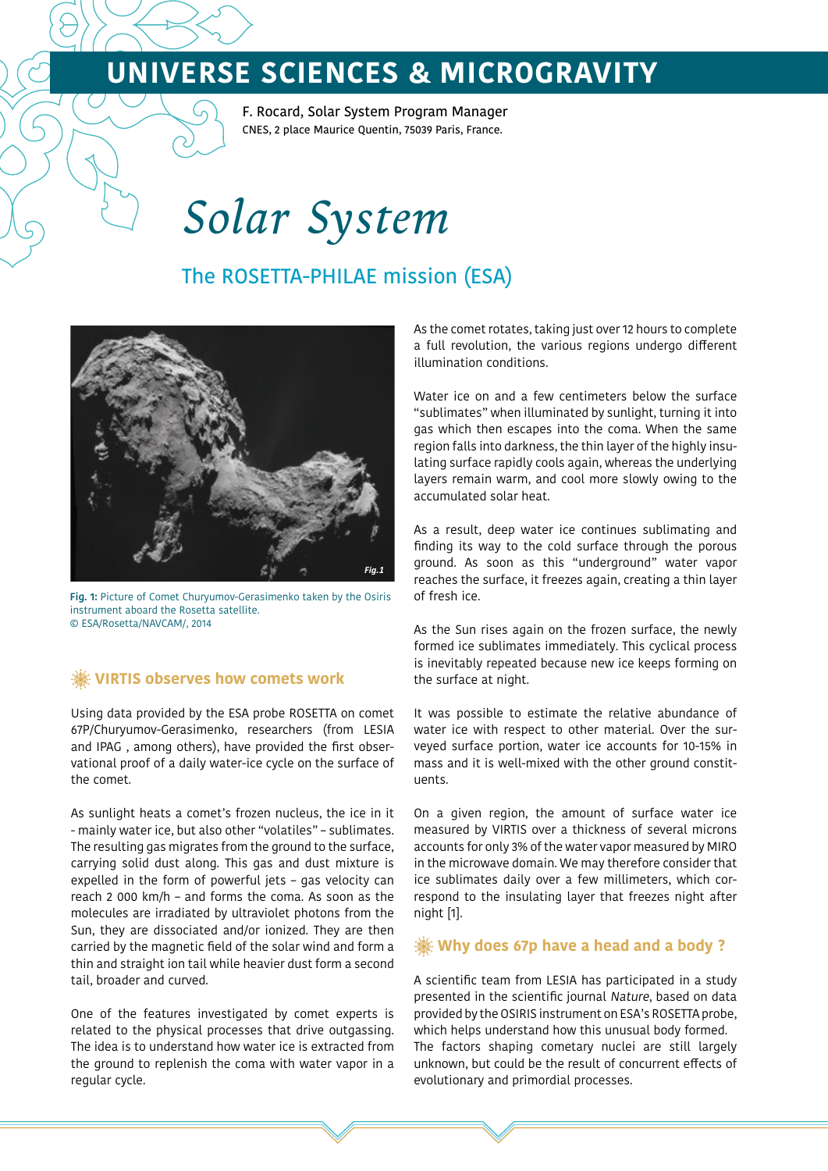F. Rocard, Solar System Program Manager CNES, 2 place Maurice Quentin, 75039 Paris, France.

*Solar System*

## The ROSETTA-PHILAE mission (ESA)



**Fig. 1:** Picture of Comet Churyumov-Gerasimenko taken by the Osiris instrument aboard the Rosetta satellite. © ESA/Rosetta/NAVCAM/, 2014

## **VIRTIS observes how comets work**

Using data provided by the ESA probe ROSETTA on comet 67P/Churyumov-Gerasimenko, researchers (from LESIA and IPAG , among others), have provided the first observational proof of a daily water-ice cycle on the surface of the comet.

As sunlight heats a comet's frozen nucleus, the ice in it - mainly water ice, but also other "volatiles" – sublimates. The resulting gas migrates from the ground to the surface, carrying solid dust along. This gas and dust mixture is expelled in the form of powerful jets – gas velocity can reach 2 000 km/h – and forms the coma. As soon as the molecules are irradiated by ultraviolet photons from the Sun, they are dissociated and/or ionized. They are then carried by the magnetic field of the solar wind and form a thin and straight ion tail while heavier dust form a second tail, broader and curved.

One of the features investigated by comet experts is related to the physical processes that drive outgassing. The idea is to understand how water ice is extracted from the ground to replenish the coma with water vapor in a regular cycle.

As the comet rotates, taking just over 12 hours to complete a full revolution, the various regions undergo different illumination conditions.

Water ice on and a few centimeters below the surface "sublimates" when illuminated by sunlight, turning it into gas which then escapes into the coma. When the same region falls into darkness, the thin layer of the highly insulating surface rapidly cools again, whereas the underlying layers remain warm, and cool more slowly owing to the accumulated solar heat.

As a result, deep water ice continues sublimating and finding its way to the cold surface through the porous ground. As soon as this "underground" water vapor reaches the surface, it freezes again, creating a thin layer of fresh ice.

As the Sun rises again on the frozen surface, the newly formed ice sublimates immediately. This cyclical process is inevitably repeated because new ice keeps forming on the surface at night.

It was possible to estimate the relative abundance of water ice with respect to other material. Over the surveyed surface portion, water ice accounts for 10-15% in mass and it is well-mixed with the other ground constituents.

On a given region, the amount of surface water ice measured by VIRTIS over a thickness of several microns accounts for only 3% of the water vapor measured by MIRO in the microwave domain. We may therefore consider that ice sublimates daily over a few millimeters, which correspond to the insulating layer that freezes night after night [1].

## **Why does 67p have a head and a body ?**

A scientific team from LESIA has participated in a study presented in the scientific journal Nature, based on data provided by the OSIRIS instrument on ESA's ROSETTA probe, which helps understand how this unusual body formed. The factors shaping cometary nuclei are still largely unknown, but could be the result of concurrent effects of evolutionary and primordial processes.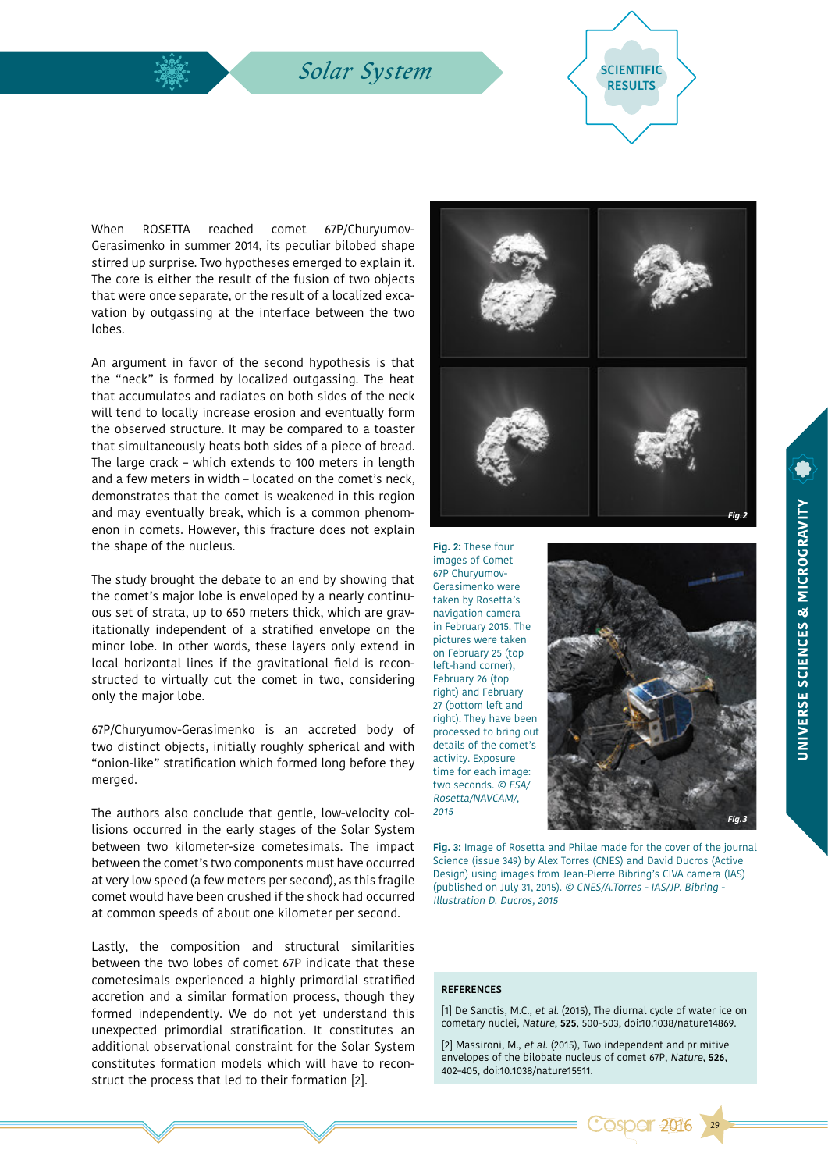**Solar System** SCIENTIFIC



When ROSETTA reached comet 67P/Churyumov-Gerasimenko in summer 2014, its peculiar bilobed shape stirred up surprise. Two hypotheses emerged to explain it. The core is either the result of the fusion of two objects that were once separate, or the result of a localized excavation by outgassing at the interface between the two lobes.

An argument in favor of the second hypothesis is that the "neck" is formed by localized outgassing. The heat that accumulates and radiates on both sides of the neck will tend to locally increase erosion and eventually form the observed structure. It may be compared to a toaster that simultaneously heats both sides of a piece of bread. The large crack – which extends to 100 meters in length and a few meters in width – located on the comet's neck, demonstrates that the comet is weakened in this region and may eventually break, which is a common phenomenon in comets. However, this fracture does not explain the shape of the nucleus.

The study brought the debate to an end by showing that the comet's major lobe is enveloped by a nearly continuous set of strata, up to 650 meters thick, which are gravitationally independent of a stratified envelope on the minor lobe. In other words, these layers only extend in local horizontal lines if the gravitational field is reconstructed to virtually cut the comet in two, considering only the major lobe.

67P/Churyumov-Gerasimenko is an accreted body of two distinct objects, initially roughly spherical and with "onion-like" stratification which formed long before they merged.

The authors also conclude that gentle, low-velocity collisions occurred in the early stages of the Solar System between two kilometer-size cometesimals. The impact between the comet's two components must have occurred at very low speed (a few meters per second), as this fragile comet would have been crushed if the shock had occurred at common speeds of about one kilometer per second.

Lastly, the composition and structural similarities between the two lobes of comet 67P indicate that these cometesimals experienced a highly primordial stratified accretion and a similar formation process, though they formed independently. We do not yet understand this unexpected primordial stratification. It constitutes an additional observational constraint for the Solar System constitutes formation models which will have to reconstruct the process that led to their formation [2].



**Fig. 2:** These four images of Comet 67P Churyumov-Gerasimenko were taken by Rosetta's navigation camera in February 2015. The pictures were taken on February 25 (top left-hand corner), February 26 (top right) and February 27 (bottom left and right). They have been processed to bring out details of the comet's activity. Exposure time for each image: two seconds. © ESA/ Rosetta/NAVCAM/, 2015



**Fig. 3:** Image of Rosetta and Philae made for the cover of the journal Science (issue 349) by Alex Torres (CNES) and David Ducros (Active Design) using images from Jean-Pierre Bibring's CIVA camera (IAS) (published on July 31, 2015). © CNES/A.Torres - IAS/JP. Bibring - Illustration D. Ducros, 2015

#### **REFERENCES**

[1] De Sanctis, M.C., et al. (2015), The diurnal cycle of water ice on cometary nuclei, Nature, **525**, 500–503, doi:10.1038/nature14869.

[2] Massironi, M., et al. (2015), Two independent and primitive envelopes of the bilobate nucleus of comet 67P, Nature, **526**, 402–405, doi:10.1038/nature15511.

**Cospar 2016** 

29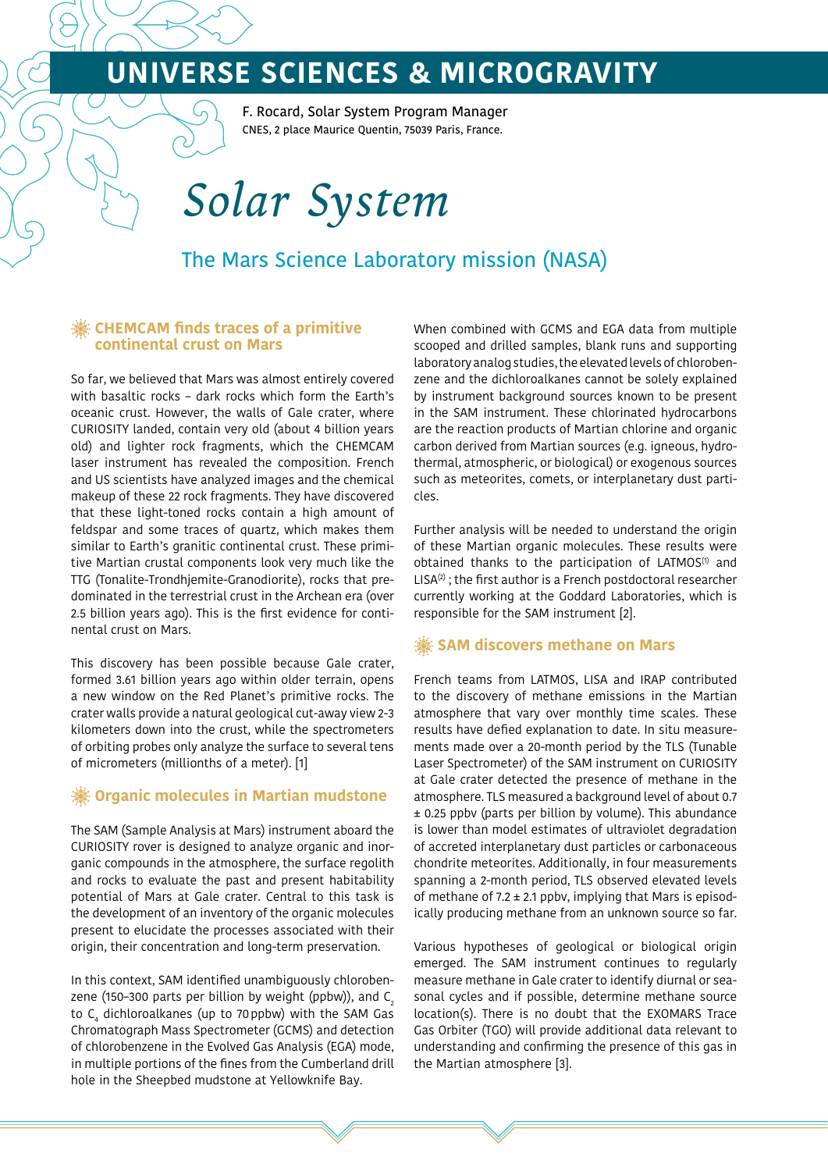F. Rocard, Solar System Program Manager CNES, 2 place Maurice Quentin, 75039 Paris, France.

# *Solar System*

## The Mars Science Laboratory mission (NASA)

### **CHEMCAM finds traces of a primitive continental crust on Mars**

So far, we believed that Mars was almost entirely covered with basaltic rocks – dark rocks which form the Earth's oceanic crust. However, the walls of Gale crater, where CURIOSITY landed, contain very old (about 4 billion years old) and lighter rock fragments, which the CHEMCAM laser instrument has revealed the composition. French and US scientists have analyzed images and the chemical makeup of these 22 rock fragments. They have discovered that these light-toned rocks contain a high amount of feldspar and some traces of quartz, which makes them similar to Earth's granitic continental crust. These primitive Martian crustal components look very much like the TTG (Tonalite-Trondhjemite-Granodiorite), rocks that predominated in the terrestrial crust in the Archean era (over 2.5 billion years ago). This is the first evidence for continental crust on Mars.

This discovery has been possible because Gale crater, formed 3.61 billion years ago within older terrain, opens a new window on the Red Planet's primitive rocks. The crater walls provide a natural geological cut-away view 2-3 kilometers down into the crust, while the spectrometers of orbiting probes only analyze the surface to several tens of micrometers (millionths of a meter). [1]

## **Organic molecules in Martian mudstone**

The SAM (Sample Analysis at Mars) instrument aboard the CURIOSITY rover is designed to analyze organic and inorganic compounds in the atmosphere, the surface regolith and rocks to evaluate the past and present habitability potential of Mars at Gale crater. Central to this task is the development of an inventory of the organic molecules present to elucidate the processes associated with their origin, their concentration and long-term preservation.

In this context, SAM identified unambiguously chlorobenzene (150–300 parts per billion by weight (ppbw)), and  $C_2$ to C $_{\textrm{\tiny{4}}}$  dichloroalkanes (up to 70 ppbw) with the SAM Gas Chromatograph Mass Spectrometer (GCMS) and detection of chlorobenzene in the Evolved Gas Analysis (EGA) mode, in multiple portions of the fines from the Cumberland drill hole in the Sheepbed mudstone at Yellowknife Bay.

When combined with GCMS and EGA data from multiple scooped and drilled samples, blank runs and supporting laboratory analog studies, the elevated levels of chlorobenzene and the dichloroalkanes cannot be solely explained by instrument background sources known to be present in the SAM instrument. These chlorinated hydrocarbons are the reaction products of Martian chlorine and organic carbon derived from Martian sources (e.g. igneous, hydrothermal, atmospheric, or biological) or exogenous sources such as meteorites, comets, or interplanetary dust particles.

Further analysis will be needed to understand the origin of these Martian organic molecules. These results were obtained thanks to the participation of LATMOS $(1)$  and  $LISA^{(2)}$ ; the first author is a French postdoctoral researcher currently working at the Goddard Laboratories, which is responsible for the SAM instrument [2].

## **SAM discovers methane on Mars**

French teams from LATMOS, LISA and IRAP contributed to the discovery of methane emissions in the Martian atmosphere that vary over monthly time scales. These results have defied explanation to date. In situ measurements made over a 20-month period by the TLS (Tunable Laser Spectrometer) of the SAM instrument on CURIOSITY at Gale crater detected the presence of methane in the atmosphere. TLS measured a background level of about 0.7 ± 0.25 ppbv (parts per billion by volume). This abundance is lower than model estimates of ultraviolet degradation of accreted interplanetary dust particles or carbonaceous chondrite meteorites. Additionally, in four measurements spanning a 2-month period, TLS observed elevated levels of methane of 7.2  $\pm$  2.1 ppbv, implying that Mars is episodically producing methane from an unknown source so far.

Various hypotheses of geological or biological origin emerged. The SAM instrument continues to regularly measure methane in Gale crater to identify diurnal or seasonal cycles and if possible, determine methane source location(s). There is no doubt that the EXOMARS Trace Gas Orbiter (TGO) will provide additional data relevant to understanding and confirming the presence of this gas in the Martian atmosphere [3].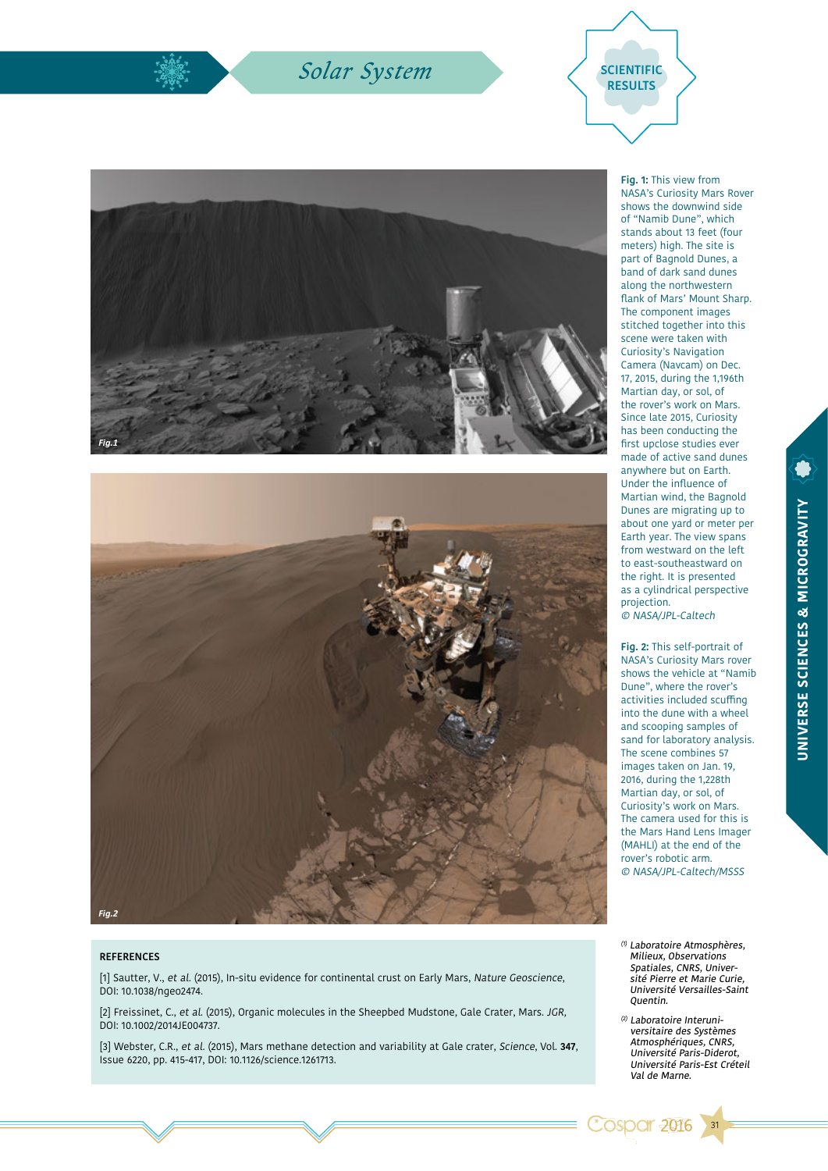## $Solar System$







#### **REFERENCES**

[1] Sautter, V., et al. (2015), In-situ evidence for continental crust on Early Mars, Nature Geoscience, DOI: 10.1038/ngeo2474.

[2] Freissinet, C., et al. (2015), Organic molecules in the Sheepbed Mudstone, Gale Crater, Mars. JGR, DOI: 10.1002/2014JE004737.

[3] Webster, C.R., et al. (2015), Mars methane detection and variability at Gale crater, Science, Vol. **347**, Issue 6220, pp. 415-417, DOI: 10.1126/science.1261713.

**Fig. 1:** This view from NASA's Curiosity Mars Rover shows the downwind side of "Namib Dune", which stands about 13 feet (four meters) high. The site is part of Bagnold Dunes, a band of dark sand dunes along the northwestern flank of Mars' Mount Sharp. The component images stitched together into this scene were taken with Curiosity's Navigation Camera (Navcam) on Dec. 17, 2015, during the 1,196th Martian day, or sol, of the rover's work on Mars. Since late 2015, Curiosity has been conducting the first upclose studies ever made of active sand dunes anywhere but on Earth. Under the influence of Martian wind, the Bagnold Dunes are migrating up to about one yard or meter per Earth year. The view spans from westward on the left to east-southeastward on the right. It is presented as a cylindrical perspective projection. © NASA/JPL-Caltech

**Fig. 2:** This self-portrait of NASA's Curiosity Mars rover shows the vehicle at "Namib Dune", where the rover's activities included scuffing into the dune with a wheel and scooping samples of sand for laboratory analysis. The scene combines 57 images taken on Jan. 19, 2016, during the 1,228th Martian day, or sol, of Curiosity's work on Mars. The camera used for this is the Mars Hand Lens Imager (MAHLI) at the end of the rover's robotic arm. © NASA/JPL-Caltech/MSSS

- (1) Laboratoire Atmosphères, Milieux, Observations Spatiales, CNRS, Université Pierre et Marie Curie, Université Versailles-Saint Quentin.
- (2) Laboratoire Interuniversitaire des Systèmes Atmosphériques, CNRS, Université Paris-Diderot, Université Paris-Est Créteil Val de Marne.

**Cosper 2016** 

31

UNIVERSE SCIENCES & MICROGRAVITY **UNIVERSE SCIENCES & MICROGRAVITY**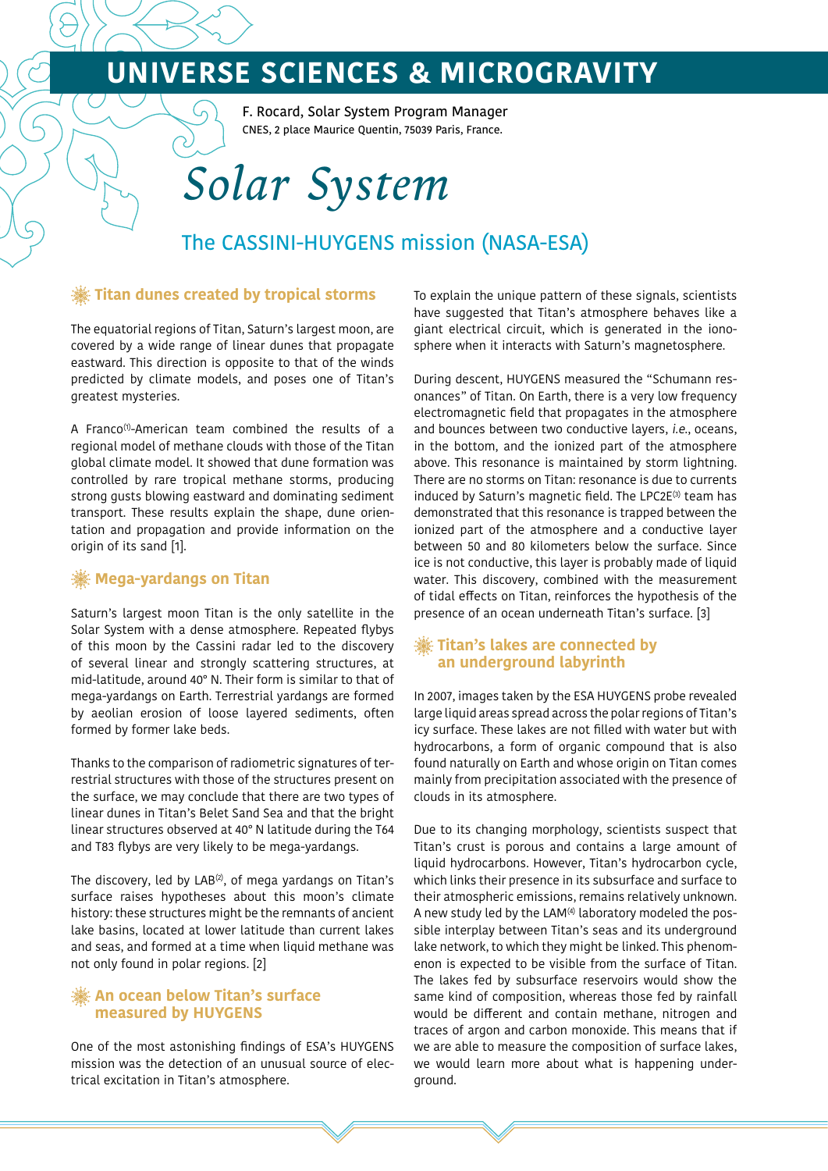F. Rocard, Solar System Program Manager CNES, 2 place Maurice Quentin, 75039 Paris, France.

# *Solar System*

## The CASSINI-HUYGENS mission (NASA-ESA)

### **Titan dunes created by tropical storms**

The equatorial regions of Titan, Saturn's largest moon, are covered by a wide range of linear dunes that propagate eastward. This direction is opposite to that of the winds predicted by climate models, and poses one of Titan's greatest mysteries.

A Franco<sup>(1)</sup>-American team combined the results of a regional model of methane clouds with those of the Titan global climate model. It showed that dune formation was controlled by rare tropical methane storms, producing strong gusts blowing eastward and dominating sediment transport. These results explain the shape, dune orientation and propagation and provide information on the origin of its sand [1].

## **Mega-yardangs on Titan**

Saturn's largest moon Titan is the only satellite in the Solar System with a dense atmosphere. Repeated flybys of this moon by the Cassini radar led to the discovery of several linear and strongly scattering structures, at mid-latitude, around 40° N. Their form is similar to that of mega-yardangs on Earth. Terrestrial yardangs are formed by aeolian erosion of loose layered sediments, often formed by former lake beds.

Thanks to the comparison of radiometric signatures of terrestrial structures with those of the structures present on the surface, we may conclude that there are two types of linear dunes in Titan's Belet Sand Sea and that the bright linear structures observed at 40° N latitude during the T64 and T83 flybys are very likely to be mega-yardangs.

The discovery, led by LAB $(2)$ , of mega yardangs on Titan's surface raises hypotheses about this moon's climate history: these structures might be the remnants of ancient lake basins, located at lower latitude than current lakes and seas, and formed at a time when liquid methane was not only found in polar regions. [2]

### **An ocean below Titan's surface measured by HUYGENS**

One of the most astonishing findings of ESA's HUYGENS mission was the detection of an unusual source of electrical excitation in Titan's atmosphere.

To explain the unique pattern of these signals, scientists have suggested that Titan's atmosphere behaves like a giant electrical circuit, which is generated in the ionosphere when it interacts with Saturn's magnetosphere.

During descent, HUYGENS measured the "Schumann resonances" of Titan. On Earth, there is a very low frequency electromagnetic field that propagates in the atmosphere and bounces between two conductive layers, i.e., oceans, in the bottom, and the ionized part of the atmosphere above. This resonance is maintained by storm lightning. There are no storms on Titan: resonance is due to currents induced by Saturn's magnetic field. The LPC2E $(3)$  team has demonstrated that this resonance is trapped between the ionized part of the atmosphere and a conductive layer between 50 and 80 kilometers below the surface. Since ice is not conductive, this layer is probably made of liquid water. This discovery, combined with the measurement of tidal effects on Titan, reinforces the hypothesis of the presence of an ocean underneath Titan's surface. [3]

### **EXECUTE:** Titan's lakes are connected by **an underground labyrinth**

In 2007, images taken by the ESA HUYGENS probe revealed large liquid areas spread across the polar regions of Titan's icy surface. These lakes are not filled with water but with hydrocarbons, a form of organic compound that is also found naturally on Earth and whose origin on Titan comes mainly from precipitation associated with the presence of clouds in its atmosphere.

Due to its changing morphology, scientists suspect that Titan's crust is porous and contains a large amount of liquid hydrocarbons. However, Titan's hydrocarbon cycle, which links their presence in its subsurface and surface to their atmospheric emissions, remains relatively unknown. A new study led by the LAM<sup>(4)</sup> laboratory modeled the possible interplay between Titan's seas and its underground lake network, to which they might be linked. This phenomenon is expected to be visible from the surface of Titan. The lakes fed by subsurface reservoirs would show the same kind of composition, whereas those fed by rainfall would be different and contain methane, nitrogen and traces of argon and carbon monoxide. This means that if we are able to measure the composition of surface lakes, we would learn more about what is happening underground.